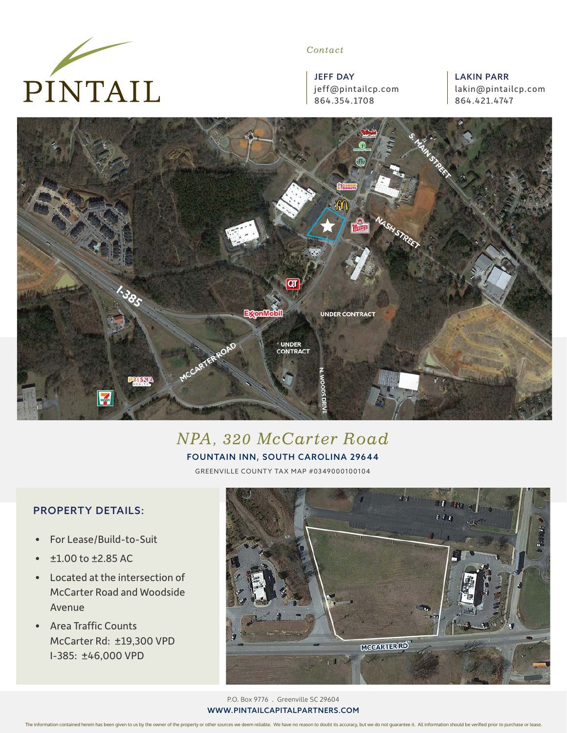

#### *Contact*

JEFF DAY jeff@pintailcp.com 864.354.1708

LAKIN PARR lakin@pintailcp.com 864.421.4747



# *NPA, 320 McCarter Road*

#### FOUNTAIN INN, SOUTH CAROLINA 29644

GREENVILLE COUNTY TA X MAP #0349000100104

### PROPERTY DETAILS:

- For Lease/Build-to-Suit
- $\cdot$   $\pm 1.00$  to  $\pm 2.85$  AC
- Located at the intersection of McCarter Road and Woodside Avenue
- Area Traffic Counts McCarter Rd: ±19,300 VPD I-385: ±46,000 VPD



P.O. Box 9776 . Greenville SC 29604 WWW.PINTAILCAPITALPARTNERS.COM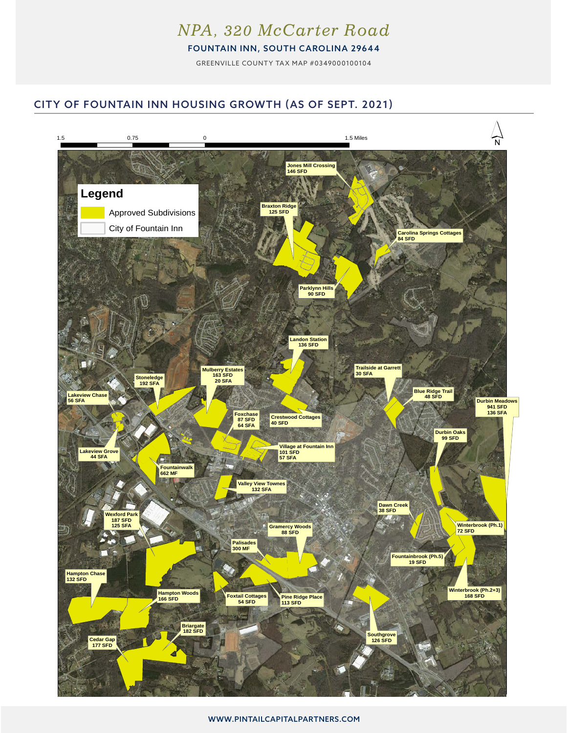## *NPA, 320 McCarter Road*

FOUNTAIN INN, SOUTH CAROLINA 29644

GREENVILLE COUNTY TA X MAP #0349000100104

### CITY OF FOUNTAIN INN HOUSING GROWTH (AS OF SEPT. 2021) City of Fountain Inn Housing Growth